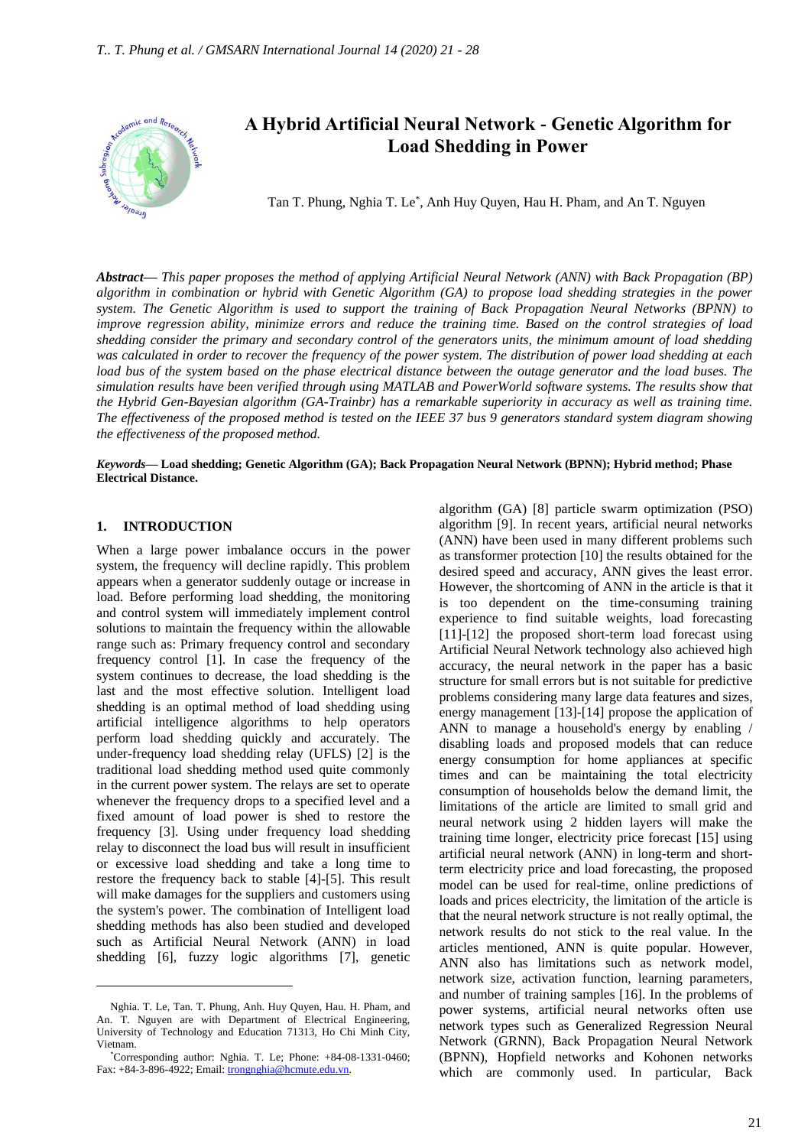

# **A Hybrid Artificial Neural Network - Genetic Algorithm for Load Shedding in Power**

Tan T. Phung, Nghia T. Le\* , Anh Huy Quyen, Hau H. Pham, and An T. Nguyen

*Abstract***—** *This paper proposes the method of applying Artificial Neural Network (ANN) with Back Propagation (BP) algorithm in combination or hybrid with Genetic Algorithm (GA) to propose load shedding strategies in the power system. The Genetic Algorithm is used to support the training of Back Propagation Neural Networks (BPNN) to improve regression ability, minimize errors and reduce the training time. Based on the control strategies of load shedding consider the primary and secondary control of the generators units, the minimum amount of load shedding was calculated in order to recover the frequency of the power system. The distribution of power load shedding at each load bus of the system based on the phase electrical distance between the outage generator and the load buses. The simulation results have been verified through using MATLAB and PowerWorld software systems. The results show that the Hybrid Gen-Bayesian algorithm (GA-Trainbr) has a remarkable superiority in accuracy as well as training time. The effectiveness of the proposed method is tested on the IEEE 37 bus 9 generators standard system diagram showing the effectiveness of the proposed method.*

*Keywords***— Load shedding; Genetic Algorithm (GA); Back Propagation Neural Network (BPNN); Hybrid method; Phase Electrical Distance.**

#### **1. INTRODUCTION**

When a large power imbalance occurs in the power system, the frequency will decline rapidly. This problem appears when a generator suddenly outage or increase in load. Before performing load shedding, the monitoring and control system will immediately implement control solutions to maintain the frequency within the allowable range such as: Primary frequency control and secondary frequency control [1]. In case the frequency of the system continues to decrease, the load shedding is the last and the most effective solution. Intelligent load shedding is an optimal method of load shedding using artificial intelligence algorithms to help operators perform load shedding quickly and accurately. The under-frequency load shedding relay (UFLS) [2] is the traditional load shedding method used quite commonly in the current power system. The relays are set to operate whenever the frequency drops to a specified level and a fixed amount of load power is shed to restore the frequency [3]. Using under frequency load shedding relay to disconnect the load bus will result in insufficient or excessive load shedding and take a long time to restore the frequency back to stable [4]-[5]. This result will make damages for the suppliers and customers using the system's power. The combination of Intelligent load shedding methods has also been studied and developed such as Artificial Neural Network (ANN) in load shedding [6], fuzzy logic algorithms [7], genetic

algorithm (GA) [8] particle swarm optimization (PSO) algorithm [9]. In recent years, artificial neural networks (ANN) have been used in many different problems such as transformer protection [10] the results obtained for the desired speed and accuracy, ANN gives the least error. However, the shortcoming of ANN in the article is that it is too dependent on the time-consuming training experience to find suitable weights, load forecasting [11]-[12] the proposed short-term load forecast using Artificial Neural Network technology also achieved high accuracy, the neural network in the paper has a basic structure for small errors but is not suitable for predictive problems considering many large data features and sizes, energy management [13]-[14] propose the application of ANN to manage a household's energy by enabling / disabling loads and proposed models that can reduce energy consumption for home appliances at specific times and can be maintaining the total electricity consumption of households below the demand limit, the limitations of the article are limited to small grid and neural network using 2 hidden layers will make the training time longer, electricity price forecast [15] using artificial neural network (ANN) in long-term and shortterm electricity price and load forecasting, the proposed model can be used for real-time, online predictions of loads and prices electricity, the limitation of the article is that the neural network structure is not really optimal, the network results do not stick to the real value. In the articles mentioned, ANN is quite popular. However, ANN also has limitations such as network model, network size, activation function, learning parameters, and number of training samples [16]. In the problems of power systems, artificial neural networks often use network types such as Generalized Regression Neural Network (GRNN), Back Propagation Neural Network (BPNN), Hopfield networks and Kohonen networks which are commonly used. In particular, Back

Nghia. T. Le, Tan. T. Phung, Anh. Huy Quyen, Hau. H. Pham, and An. T. Nguyen are with Department of Electrical Engineering, University of Technology and Education 71313, Ho Chi Minh City, Vietnam.

<sup>\*</sup>Corresponding author: Nghia. T. Le; Phone: +84-08-1331-0460; Fax: +84-3-896-4922; Email: trongnghia@hcmute.edu.vn.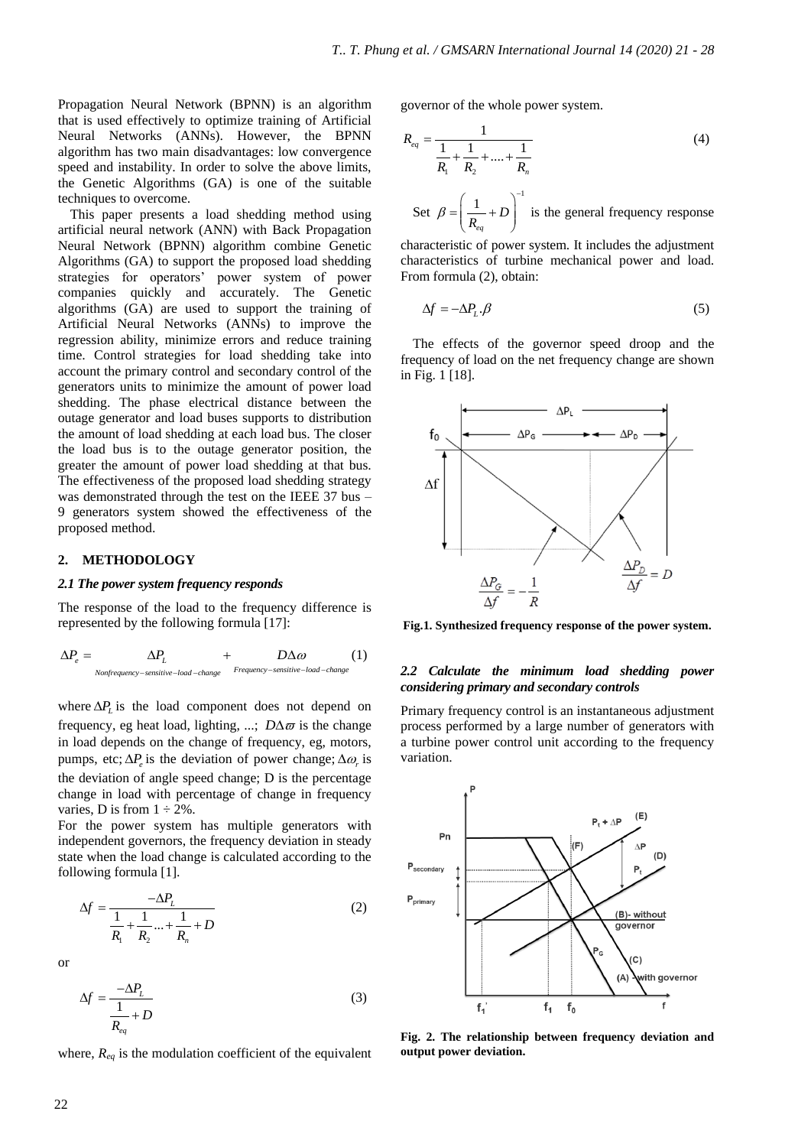Propagation Neural Network (BPNN) is an algorithm that is used effectively to optimize training of Artificial Neural Networks (ANNs). However, the BPNN algorithm has two main disadvantages: low convergence speed and instability. In order to solve the above limits, the Genetic Algorithms (GA) is one of the suitable techniques to overcome.

This paper presents a load shedding method using artificial neural network (ANN) with Back Propagation Neural Network (BPNN) algorithm combine Genetic Algorithms (GA) to support the proposed load shedding strategies for operators' power system of power companies quickly and accurately. The Genetic algorithms (GA) are used to support the training of Artificial Neural Networks (ANNs) to improve the regression ability, minimize errors and reduce training time. Control strategies for load shedding take into account the primary control and secondary control of the generators units to minimize the amount of power load shedding. The phase electrical distance between the outage generator and load buses supports to distribution the amount of load shedding at each load bus. The closer the load bus is to the outage generator position, the greater the amount of power load shedding at that bus. The effectiveness of the proposed load shedding strategy was demonstrated through the test on the IEEE 37 bus – 9 generators system showed the effectiveness of the proposed method.

#### **2. METHODOLOGY**

#### *2.1 The power system frequency responds*

The response of the load to the frequency difference is represented by the following formula [17]:

$$
\Delta P_e = \Delta P_L + D \Delta \omega
$$
 (1)  
\n
$$
\Delta P_e = \Delta P_L + D \Delta \omega
$$
 (2)

where  $\Delta P$ <sub>*L*</sub> is the load component does not depend on frequency, eg heat load, lighting, ...;  $D\Delta\varpi$  is the change in load depends on the change of frequency, eg, motors, pumps, etc;  $\Delta P_e$  is the deviation of power change;  $\Delta \omega_r$  is the deviation of angle speed change; D is the percentage change in load with percentage of change in frequency varies, D is from  $1 \div 2\%$ .

For the power system has multiple generators with independent governors, the frequency deviation in steady state when the load change is calculated according to the following formula [1].

$$
\Delta f = \frac{-\Delta P_L}{\frac{1}{R_1} + \frac{1}{R_2} \dots + \frac{1}{R_n} + D}
$$
 (2)

or

$$
\Delta f = \frac{-\Delta P_L}{\frac{1}{R_{eq}} + D} \tag{3}
$$

where, *Req* is the modulation coefficient of the equivalent

governor of the whole power system.

$$
R_{eq} = \frac{1}{\frac{1}{R_1} + \frac{1}{R_2} + \dots + \frac{1}{R_n}}
$$
(4)

Set  $1 \cdot R$ <sup>-1</sup> *eq*  $\beta = \frac{1}{R_{eq}} + D$  $\begin{pmatrix} 1 & - \end{pmatrix}^{-1}$  $=\left(\frac{1}{R_{eq}}+D\right)$  is the general frequency response

characteristic of power system. It includes the adjustment characteristics of turbine mechanical power and load. From formula (2), obtain:

$$
\Delta f = -\Delta P_L \cdot \beta \tag{5}
$$

The effects of the governor speed droop and the frequency of load on the net frequency change are shown in Fig. 1 [18].



**Fig.1. Synthesized frequency response of the power system.**

#### *2.2 Calculate the minimum load shedding power considering primary and secondary controls*

Primary frequency control is an instantaneous adjustment process performed by a large number of generators with a turbine power control unit according to the frequency variation.



**Fig. 2. The relationship between frequency deviation and output power deviation.**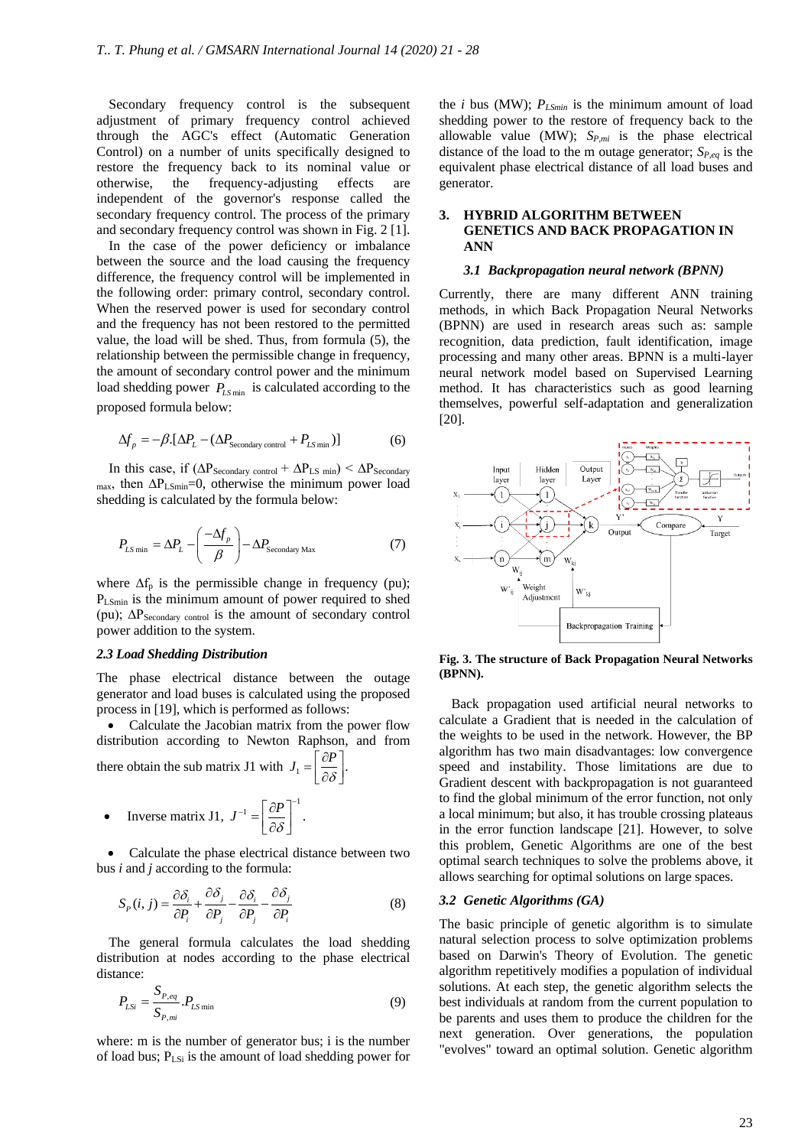Secondary frequency control is the subsequent adjustment of primary frequency control achieved through the AGC's effect (Automatic Generation Control) on a number of units specifically designed to restore the frequency back to its nominal value or otherwise, the frequency-adjusting effects are independent of the governor's response called the secondary frequency control. The process of the primary and secondary frequency control was shown in Fig. 2 [1].

In the case of the power deficiency or imbalance between the source and the load causing the frequency difference, the frequency control will be implemented in the following order: primary control, secondary control. When the reserved power is used for secondary control and the frequency has not been restored to the permitted value, the load will be shed. Thus, from formula (5), the relationship between the permissible change in frequency, the amount of secondary control power and the minimum load shedding power  $P_{LSmin}$  is calculated according to the proposed formula below:

$$
\Delta f_p = -\beta \left[ \Delta P_L - (\Delta P_{\text{secondary control}} + P_{LS \min}) \right]
$$
 (6)

In this case, if  $(\Delta P_{\text{Secondary control}} + \Delta P_{LS \min}) < \Delta P_{\text{Secondary}}$ max, then ∆PLSmin=0, otherwise the minimum power load shedding is calculated by the formula below:

$$
P_{LS \min} = \Delta P_L - \left(\frac{-\Delta f_p}{\beta}\right) - \Delta P_{\text{secondary Max}}
$$
 (7)

where  $\Delta f_p$  is the permissible change in frequency (pu); PLSmin is the minimum amount of power required to shed (pu); ∆PSecondary control is the amount of secondary control power addition to the system.

#### *2.3 Load Shedding Distribution*

The phase electrical distance between the outage generator and load buses is calculated using the proposed process in [19], which is performed as follows:

• Calculate the Jacobian matrix from the power flow distribution according to Newton Raphson, and from

there obtain the sub matrix J1 with  $J_1 = \left[\frac{\partial P}{\partial \delta}\right]$ .  $=\left[\frac{\partial P}{\partial \delta}\right]$ 

• Inverse matrix J1, 
$$
J^{-1} = \left[\frac{\partial P}{\partial \delta}\right]^{-1}
$$
.

• Calculate the phase electrical distance between two bus *i* and *j* according to the formula:

$$
S_p(i, j) = \frac{\partial \delta_i}{\partial P_i} + \frac{\partial \delta_j}{\partial P_j} - \frac{\partial \delta_i}{\partial P_j} - \frac{\partial \delta_j}{\partial P_i}
$$
(8)

The general formula calculates the load shedding distribution at nodes according to the phase electrical distance:

$$
P_{LSi} = \frac{S_{P,eq}}{S_{P,mi}} P_{LS \min} \tag{9}
$$

where: m is the number of generator bus; i is the number of load bus; PLSi is the amount of load shedding power for

the *i* bus (MW); *PLSmin* is the minimum amount of load shedding power to the restore of frequency back to the allowable value (MW); *SP,mi* is the phase electrical distance of the load to the m outage generator; *SP,eq* is the equivalent phase electrical distance of all load buses and generator.

# **3. HYBRID ALGORITHM BETWEEN GENETICS AND BACK PROPAGATION IN ANN**

#### *3.1 Backpropagation neural network (BPNN)*

Currently, there are many different ANN training methods, in which Back Propagation Neural Networks (BPNN) are used in research areas such as: sample recognition, data prediction, fault identification, image processing and many other areas. BPNN is a multi-layer neural network model based on Supervised Learning method. It has characteristics such as good learning themselves, powerful self-adaptation and generalization [20].



**Fig. 3. The structure of Back Propagation Neural Networks (BPNN).**

Back propagation used artificial neural networks to calculate a Gradient that is needed in the calculation of the weights to be used in the network. However, the BP algorithm has two main disadvantages: low convergence speed and instability. Those limitations are due to Gradient descent with backpropagation is not guaranteed to find the global minimum of the error function, not only a local minimum; but also, it has trouble crossing plateaus in the error function landscape [21]. However, to solve this problem, Genetic Algorithms are one of the best optimal search techniques to solve the problems above, it allows searching for optimal solutions on large spaces.

#### *3.2 Genetic Algorithms (GA)*

The basic principle of genetic algorithm is to simulate natural selection process to solve optimization problems based on Darwin's Theory of Evolution. The genetic algorithm repetitively modifies a population of individual solutions. At each step, the genetic algorithm selects the best individuals at random from the current population to be parents and uses them to produce the children for the next generation. Over generations, the population "evolves" toward an optimal solution. Genetic algorithm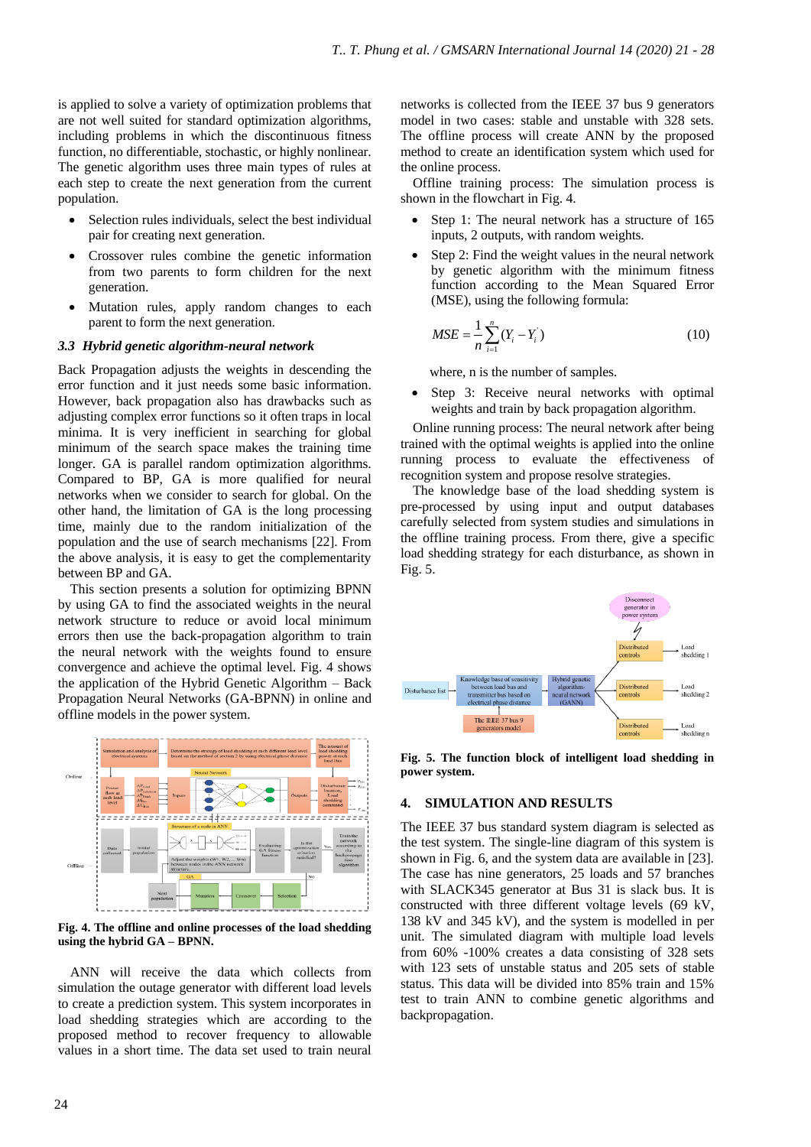is applied to solve a variety of optimization problems that are not well suited for standard optimization algorithms, including problems in which the discontinuous fitness function, no differentiable, stochastic, or highly nonlinear. The genetic algorithm uses three main types of rules at each step to create the next generation from the current population.

- Selection rules individuals, select the best individual pair for creating next generation.
- Crossover rules combine the genetic information from two parents to form children for the next generation.
- Mutation rules, apply random changes to each parent to form the next generation.

#### *3.3 Hybrid genetic algorithm-neural network*

Back Propagation adjusts the weights in descending the error function and it just needs some basic information. However, back propagation also has drawbacks such as adjusting complex error functions so it often traps in local minima. It is very inefficient in searching for global minimum of the search space makes the training time longer. GA is parallel random optimization algorithms. Compared to BP, GA is more qualified for neural networks when we consider to search for global. On the other hand, the limitation of GA is the long processing time, mainly due to the random initialization of the population and the use of search mechanisms [22]. From the above analysis, it is easy to get the complementarity between BP and GA.

This section presents a solution for optimizing BPNN by using GA to find the associated weights in the neural network structure to reduce or avoid local minimum errors then use the back-propagation algorithm to train the neural network with the weights found to ensure convergence and achieve the optimal level. Fig. 4 shows the application of the Hybrid Genetic Algorithm – Back Propagation Neural Networks (GA-BPNN) in online and offline models in the power system.



**Fig. 4. The offline and online processes of the load shedding using the hybrid GA – BPNN.**

ANN will receive the data which collects from simulation the outage generator with different load levels to create a prediction system. This system incorporates in load shedding strategies which are according to the proposed method to recover frequency to allowable values in a short time. The data set used to train neural

networks is collected from the IEEE 37 bus 9 generators model in two cases: stable and unstable with 328 sets. The offline process will create ANN by the proposed method to create an identification system which used for the online process.

Offline training process: The simulation process is shown in the flowchart in Fig. 4.

- Step 1: The neural network has a structure of 165 inputs, 2 outputs, with random weights.
- Step 2: Find the weight values in the neural network by genetic algorithm with the minimum fitness function according to the Mean Squared Error (MSE), using the following formula:

$$
MSE = \frac{1}{n} \sum_{i=1}^{n} (Y_i - Y_i)
$$
 (10)

where, n is the number of samples.

Step 3: Receive neural networks with optimal weights and train by back propagation algorithm.

Online running process: The neural network after being trained with the optimal weights is applied into the online running process to evaluate the effectiveness of recognition system and propose resolve strategies.

The knowledge base of the load shedding system is pre-processed by using input and output databases carefully selected from system studies and simulations in the offline training process. From there, give a specific load shedding strategy for each disturbance, as shown in Fig. 5.



**Fig. 5. The function block of intelligent load shedding in power system.**

# **4. SIMULATION AND RESULTS**

The IEEE 37 bus standard system diagram is selected as the test system. The single-line diagram of this system is shown in Fig. 6, and the system data are available in [23]. The case has nine generators, 25 loads and 57 branches with SLACK345 generator at Bus 31 is slack bus. It is constructed with three different voltage levels (69 kV, 138 kV and 345 kV), and the system is modelled in per unit. The simulated diagram with multiple load levels from 60% -100% creates a data consisting of 328 sets with 123 sets of unstable status and 205 sets of stable status. This data will be divided into 85% train and 15% test to train ANN to combine genetic algorithms and backpropagation.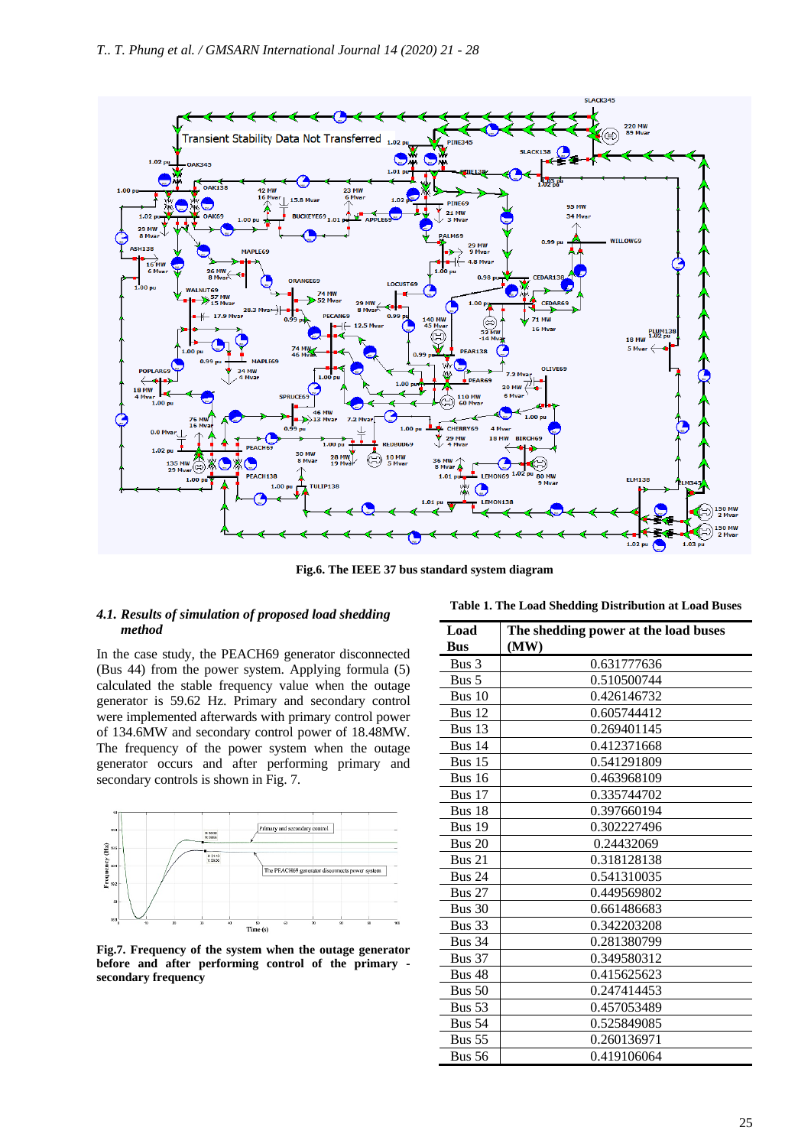

**Fig.6. The IEEE 37 bus standard system diagram**

# *4.1. Results of simulation of proposed load shedding method*

In the case study, the PEACH69 generator disconnected (Bus 44) from the power system. Applying formula (5) calculated the stable frequency value when the outage generator is 59.62 Hz. Primary and secondary control were implemented afterwards with primary control power of 134.6MW and secondary control power of 18.48MW. The frequency of the power system when the outage generator occurs and after performing primary and secondary controls is shown in Fig. 7.



**Fig.7. Frequency of the system when the outage generator before and after performing control of the primary secondary frequency**

| Load          | The shedding power at the load buses |  |  |  |  |  |
|---------------|--------------------------------------|--|--|--|--|--|
| <b>Bus</b>    | (MW)                                 |  |  |  |  |  |
| Bus 3         | 0.631777636                          |  |  |  |  |  |
| Bus $5$       | 0.510500744                          |  |  |  |  |  |
| Bus $10$      | 0.426146732                          |  |  |  |  |  |
| Bus 12        | 0.605744412                          |  |  |  |  |  |
| Bus $13$      | 0.269401145                          |  |  |  |  |  |
| Bus $14$      | 0.412371668                          |  |  |  |  |  |
| Bus $15$      | 0.541291809                          |  |  |  |  |  |
| <b>Bus 16</b> | 0.463968109                          |  |  |  |  |  |
| Bus 17        | 0.335744702                          |  |  |  |  |  |
| Bus 18        | 0.397660194                          |  |  |  |  |  |
| <b>Bus 19</b> | 0.302227496                          |  |  |  |  |  |
| <b>Bus 20</b> | 0.24432069                           |  |  |  |  |  |
| Bus 21        | 0.318128138                          |  |  |  |  |  |
| <b>Bus 24</b> | 0.541310035                          |  |  |  |  |  |
| <b>Bus 27</b> | 0.449569802                          |  |  |  |  |  |
| Bus 30        | 0.661486683                          |  |  |  |  |  |
| Bus 33        | 0.342203208                          |  |  |  |  |  |
| <b>Bus 34</b> | 0.281380799                          |  |  |  |  |  |
| <b>Bus 37</b> | 0.349580312                          |  |  |  |  |  |
| <b>Bus 48</b> | 0.415625623                          |  |  |  |  |  |
| <b>Bus 50</b> | 0.247414453                          |  |  |  |  |  |
| Bus 53        | 0.457053489                          |  |  |  |  |  |
| <b>Bus 54</b> | 0.525849085                          |  |  |  |  |  |
| <b>Bus 55</b> | 0.260136971                          |  |  |  |  |  |
| <b>Bus 56</b> | 0.419106064                          |  |  |  |  |  |

**Table 1. The Load Shedding Distribution at Load Buses**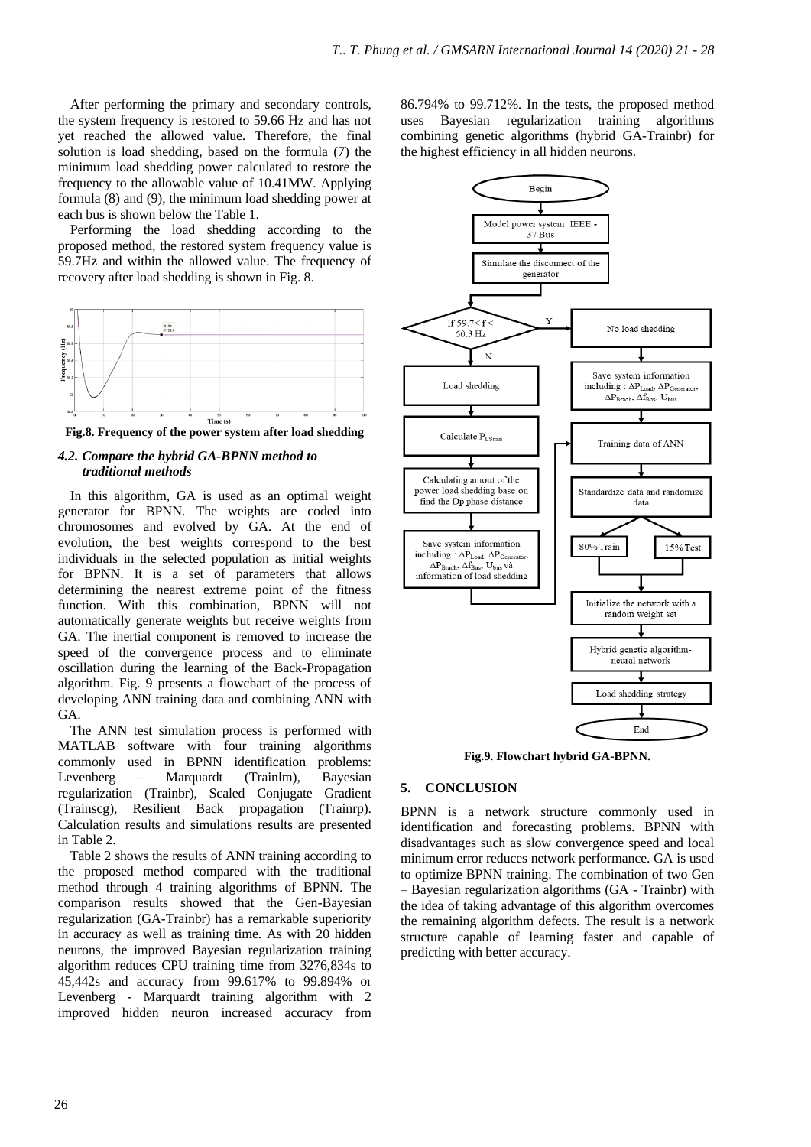After performing the primary and secondary controls, the system frequency is restored to 59.66 Hz and has not yet reached the allowed value. Therefore, the final solution is load shedding, based on the formula (7) the minimum load shedding power calculated to restore the frequency to the allowable value of 10.41MW. Applying formula (8) and (9), the minimum load shedding power at each bus is shown below the Table 1.

Performing the load shedding according to the proposed method, the restored system frequency value is 59.7Hz and within the allowed value. The frequency of recovery after load shedding is shown in Fig. 8.



**Fig.8. Frequency of the power system after load shedding**

# *4.2. Compare the hybrid GA-BPNN method to traditional methods*

In this algorithm, GA is used as an optimal weight generator for BPNN. The weights are coded into chromosomes and evolved by GA. At the end of evolution, the best weights correspond to the best individuals in the selected population as initial weights for BPNN. It is a set of parameters that allows determining the nearest extreme point of the fitness function. With this combination, BPNN will not automatically generate weights but receive weights from GA. The inertial component is removed to increase the speed of the convergence process and to eliminate oscillation during the learning of the Back-Propagation algorithm. Fig. 9 presents a flowchart of the process of developing ANN training data and combining ANN with GA.

The ANN test simulation process is performed with MATLAB software with four training algorithms commonly used in BPNN identification problems: Levenberg – Marquardt (Trainlm), Bayesian regularization (Trainbr), Scaled Conjugate Gradient (Trainscg), Resilient Back propagation (Trainrp). Calculation results and simulations results are presented in Table 2.

Table 2 shows the results of ANN training according to the proposed method compared with the traditional method through 4 training algorithms of BPNN. The comparison results showed that the Gen-Bayesian regularization (GA-Trainbr) has a remarkable superiority in accuracy as well as training time. As with 20 hidden neurons, the improved Bayesian regularization training algorithm reduces CPU training time from 3276,834s to 45,442s and accuracy from 99.617% to 99.894% or Levenberg - Marquardt training algorithm with 2 improved hidden neuron increased accuracy from

86.794% to 99.712%. In the tests, the proposed method uses Bayesian regularization training algorithms combining genetic algorithms (hybrid GA-Trainbr) for the highest efficiency in all hidden neurons.



**Fig.9. Flowchart hybrid GA-BPNN.**

### **5. CONCLUSION**

BPNN is a network structure commonly used in identification and forecasting problems. BPNN with disadvantages such as slow convergence speed and local minimum error reduces network performance. GA is used to optimize BPNN training. The combination of two Gen – Bayesian regularization algorithms (GA - Trainbr) with the idea of taking advantage of this algorithm overcomes the remaining algorithm defects. The result is a network structure capable of learning faster and capable of predicting with better accuracy.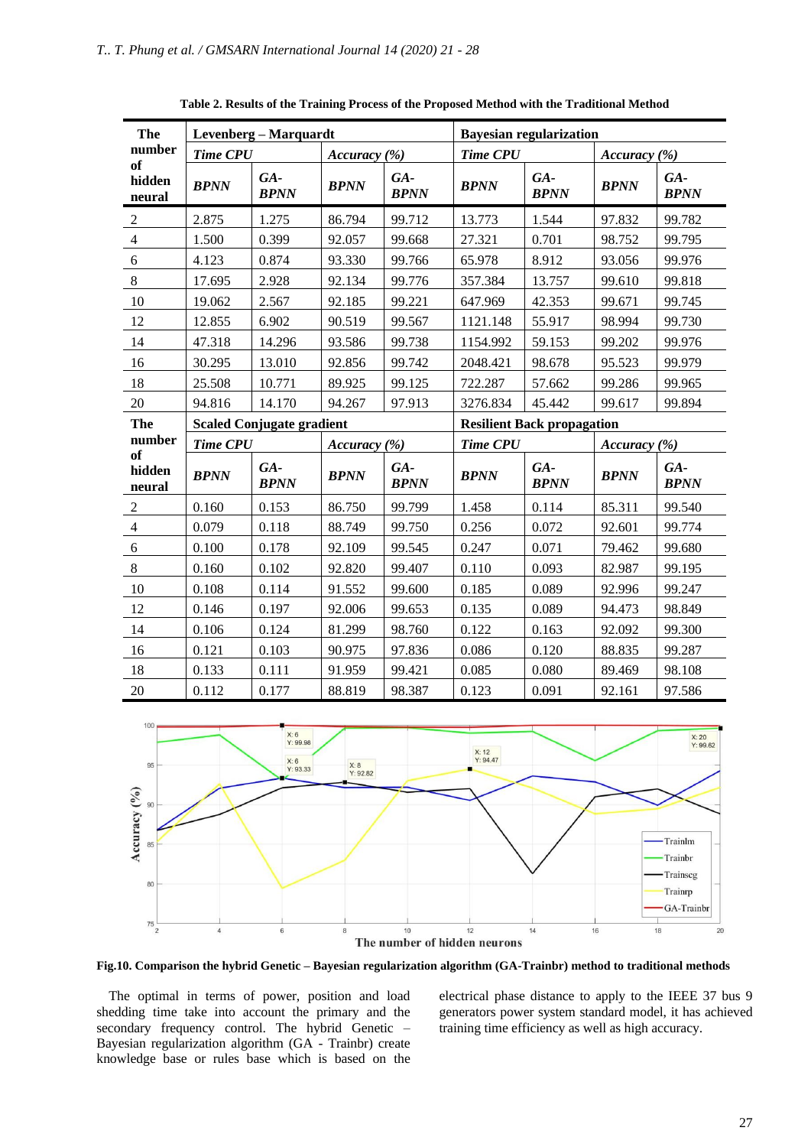| The                    | Levenberg – Marquardt            |                    |              |                    | <b>Bayesian regularization</b>    |                    |              |                      |
|------------------------|----------------------------------|--------------------|--------------|--------------------|-----------------------------------|--------------------|--------------|----------------------|
| number                 | <b>Time CPU</b>                  |                    | Accuracy (%) |                    | <b>Time CPU</b>                   |                    | Accuracy (%) |                      |
| of<br>hidden<br>neural | <b>BPNN</b>                      | GA-<br><b>BPNN</b> | <b>BPNN</b>  | GA-<br><b>BPNN</b> | <b>BPNN</b>                       | GA-<br><b>BPNN</b> | <b>BPNN</b>  | $GA-$<br><b>BPNN</b> |
| $\sqrt{2}$             | 2.875                            | 1.275              | 86.794       | 99.712             | 13.773                            | 1.544              | 97.832       | 99.782               |
| $\overline{4}$         | 1.500                            | 0.399              | 92.057       | 99.668             | 27.321                            | 0.701              | 98.752       | 99.795               |
| 6                      | 4.123                            | 0.874              | 93.330       | 99.766             | 65.978                            | 8.912              | 93.056       | 99.976               |
| $8\,$                  | 17.695                           | 2.928              | 92.134       | 99.776             | 357.384                           | 13.757             | 99.610       | 99.818               |
| 10                     | 19.062                           | 2.567              | 92.185       | 99.221             | 647.969                           | 42.353             | 99.671       | 99.745               |
| 12                     | 12.855                           | 6.902              | 90.519       | 99.567             | 1121.148                          | 55.917             | 98.994       | 99.730               |
| 14                     | 47.318                           | 14.296             | 93.586       | 99.738             | 1154.992                          | 59.153             | 99.202       | 99.976               |
| 16                     | 30.295                           | 13.010             | 92.856       | 99.742             | 2048.421                          | 98.678             | 95.523       | 99.979               |
| 18                     | 25.508                           | 10.771             | 89.925       | 99.125             | 722.287                           | 57.662             | 99.286       | 99.965               |
| 20                     | 94.816                           | 14.170             | 94.267       | 97.913             | 3276.834                          | 45.442             | 99.617       | 99.894               |
| The                    | <b>Scaled Conjugate gradient</b> |                    |              |                    | <b>Resilient Back propagation</b> |                    |              |                      |
| number                 | <b>Time CPU</b>                  |                    | Accuracy (%) |                    | <b>Time CPU</b>                   |                    | Accuracy (%) |                      |
| of<br>hidden<br>neural | <b>BPNN</b>                      | GA-<br><b>BPNN</b> | <b>BPNN</b>  | GA-<br><b>BPNN</b> | <b>BPNN</b>                       | GA-<br><b>BPNN</b> | <b>BPNN</b>  | GA-<br><b>BPNN</b>   |
| $\sqrt{2}$             | 0.160                            | 0.153              | 86.750       | 99.799             | 1.458                             | 0.114              | 85.311       | 99.540               |
| $\overline{4}$         | 0.079                            | 0.118              | 88.749       | 99.750             | 0.256                             | 0.072              | 92.601       | 99.774               |
| 6                      | 0.100                            | 0.178              | 92.109       | 99.545             | 0.247                             | 0.071              | 79.462       | 99.680               |
| $\,8\,$                | 0.160                            | 0.102              | 92.820       | 99.407             | 0.110                             | 0.093              | 82.987       | 99.195               |
| 10                     | 0.108                            | 0.114              | 91.552       | 99.600             | 0.185                             | 0.089              | 92.996       | 99.247               |
| 12                     | 0.146                            | 0.197              | 92.006       | 99.653             | 0.135                             | 0.089              | 94.473       | 98.849               |
| 14                     | 0.106                            | 0.124              | 81.299       | 98.760             | 0.122                             | 0.163              | 92.092       | 99.300               |
| 16                     | 0.121                            | 0.103              | 90.975       | 97.836             | 0.086                             | 0.120              | 88.835       | 99.287               |
| 18                     | 0.133                            | 0.111              | 91.959       | 99.421             | 0.085                             | 0.080              | 89.469       | 98.108               |
| 20                     | 0.112                            | 0.177              | 88.819       | 98.387             | 0.123                             | 0.091              | 92.161       | 97.586               |

**Table 2. Results of the Training Process of the Proposed Method with the Traditional Method**



**Fig.10. Comparison the hybrid Genetic – Bayesian regularization algorithm (GA-Trainbr) method to traditional methods**

The optimal in terms of power, position and load shedding time take into account the primary and the secondary frequency control. The hybrid Genetic – Bayesian regularization algorithm (GA - Trainbr) create knowledge base or rules base which is based on the

electrical phase distance to apply to the IEEE 37 bus 9 generators power system standard model, it has achieved training time efficiency as well as high accuracy.